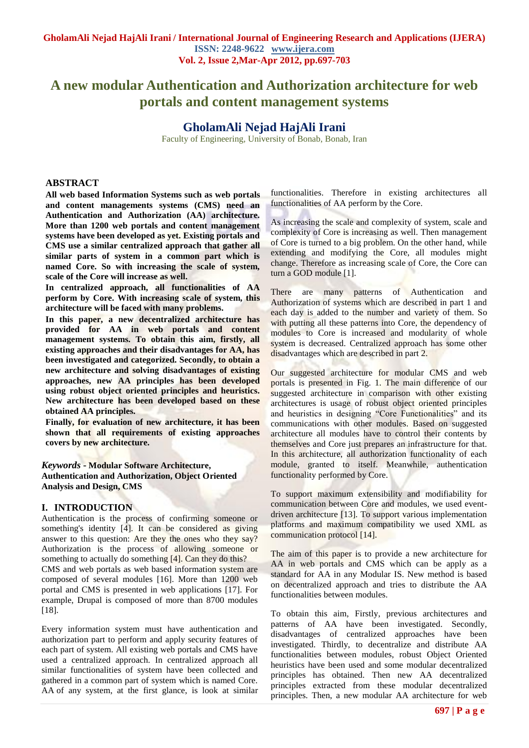# **A new modular Authentication and Authorization architecture for web portals and content management systems**

# **GholamAli Nejad HajAli Irani**

Faculty of Engineering, University of Bonab, Bonab, Iran

#### **ABSTRACT**

**All web based Information Systems such as web portals and content managements systems (CMS) need an Authentication and Authorization (AA) architecture. More than 1200 web portals and content management systems have been developed as yet. Existing portals and CMS use a similar centralized approach that gather all similar parts of system in a common part which is named Core. So with increasing the scale of system, scale of the Core will increase as well.** 

**In centralized approach, all functionalities of AA perform by Core. With increasing scale of system, this architecture will be faced with many problems.** 

**In this paper, a new decentralized architecture has provided for AA in web portals and content management systems. To obtain this aim, firstly, all existing approaches and their disadvantages for AA, has been investigated and categorized. Secondly, to obtain a new architecture and solving disadvantages of existing approaches, new AA principles has been developed using robust object oriented principles and heuristics. New architecture has been developed based on these obtained AA principles.** 

**Finally, for evaluation of new architecture, it has been shown that all requirements of existing approaches covers by new architecture.**

*Keywords* **- Modular Software Architecture, Authentication and Authorization, Object Oriented Analysis and Design, CMS**

#### **I. INTRODUCTION**

Authentication is the process of confirming someone or something's identity [4]. It can be considered as giving answer to this question: Are they the ones who they say? Authorization is the process of allowing someone or something to actually do something [4]. Can they do this? CMS and web portals as web based information system are composed of several modules [16]. More than 1200 web portal and CMS is presented in web applications [17]. For example, Drupal is composed of more than 8700 modules [18].

Every information system must have authentication and authorization part to perform and apply security features of each part of system. All existing web portals and CMS have used a centralized approach. In centralized approach all similar functionalities of system have been collected and gathered in a common part of system which is named Core. AA of any system, at the first glance, is look at similar functionalities. Therefore in existing architectures all functionalities of AA perform by the Core.

As increasing the scale and complexity of system, scale and complexity of Core is increasing as well. Then management of Core is turned to a big problem. On the other hand, while extending and modifying the Core, all modules might change. Therefore as increasing scale of Core, the Core can turn a GOD module [1].

There are many patterns of Authentication and Authorization of systems which are described in part 1 and each day is added to the number and variety of them. So with putting all these patterns into Core, the dependency of modules to Core is increased and modularity of whole system is decreased. Centralized approach has some other disadvantages which are described in part 2.

Our suggested architecture for modular CMS and web portals is presented in Fig. 1. The main difference of our suggested architecture in comparison with other existing architectures is usage of robust object oriented principles and heuristics in designing "Core Functionalities" and its communications with other modules. Based on suggested architecture all modules have to control their contents by themselves and Core just prepares an infrastructure for that. In this architecture, all authorization functionality of each module, granted to itself. Meanwhile, authentication functionality performed by Core.

To support maximum extensibility and modifiability for communication between Core and modules, we used eventdriven architecture [13]. To support various implementation platforms and maximum compatibility we used XML as communication protocol [14].

The aim of this paper is to provide a new architecture for AA in web portals and CMS which can be apply as a standard for AA in any Modular IS. New method is based on decentralized approach and tries to distribute the AA functionalities between modules.

To obtain this aim, Firstly, previous architectures and patterns of AA have been investigated. Secondly, disadvantages of centralized approaches have been investigated. Thirdly, to decentralize and distribute AA functionalities between modules, robust Object Oriented heuristics have been used and some modular decentralized principles has obtained. Then new AA decentralized principles extracted from these modular decentralized principles. Then, a new modular AA architecture for web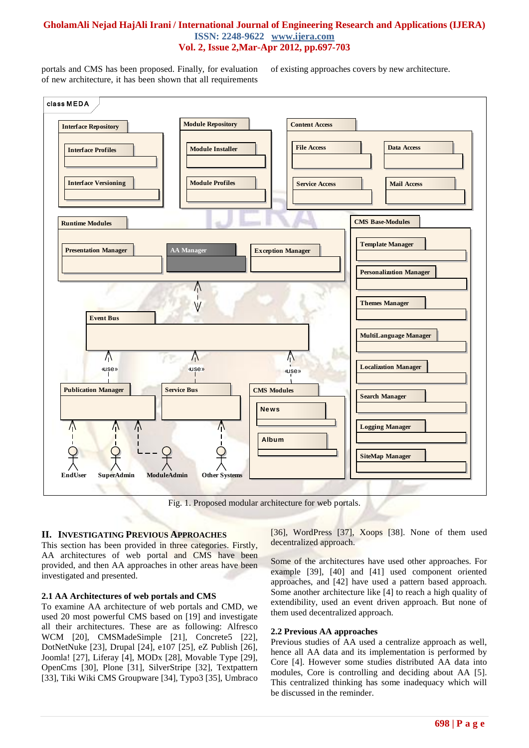portals and CMS has been proposed. Finally, for evaluation of new architecture, it has been shown that all requirements

of existing approaches covers by new architecture.



Fig. 1. Proposed modular architecture for web portals.

#### **II. INVESTIGATING PREVIOUS APPROACHES**

This section has been provided in three categories. Firstly, AA architectures of web portal and CMS have been provided, and then AA approaches in other areas have been investigated and presented.

#### **2.1 AA Architectures of web portals and CMS**

To examine AA architecture of web portals and CMD, we used 20 most powerful CMS based on [19] and investigate all their architectures. These are as following: Alfresco WCM [20], CMSMadeSimple [21], Concrete5 [22], DotNetNuke [23], Drupal [24], e107 [25], eZ Publish [26], Joomla! [27], Liferay [4], MODx [28], Movable Type [29], OpenCms [30], Plone [31], SilverStripe [32], Textpattern [33], Tiki Wiki CMS Groupware [34], Typo3 [35], Umbraco

[36], WordPress [37], Xoops [38]. None of them used decentralized approach.

Some of the architectures have used other approaches. For example [39], [40] and [41] used component oriented approaches, and [42] have used a pattern based approach. Some another architecture like [4] to reach a high quality of extendibility, used an event driven approach. But none of them used decentralized approach.

#### **2.2 Previous AA approaches**

Previous studies of AA used a centralize approach as well, hence all AA data and its implementation is performed by Core [4]. However some studies distributed AA data into modules, Core is controlling and deciding about AA [5]. This centralized thinking has some inadequacy which will be discussed in the reminder.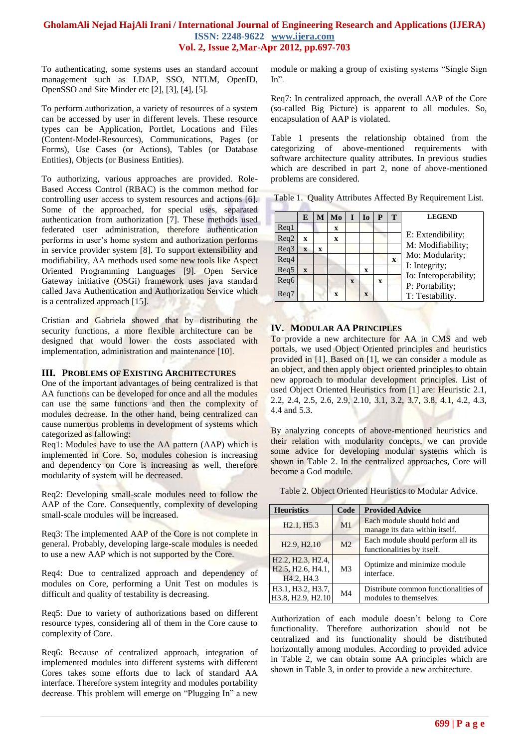To authenticating, some systems uses an standard account management such as LDAP, SSO, NTLM, OpenID, OpenSSO and Site Minder etc [2], [3], [4], [5].

To perform authorization, a variety of resources of a system can be accessed by user in different levels. These resource types can be Application, Portlet, Locations and Files (Content-Model-Resources), Communications, Pages (or Forms), Use Cases (or Actions), Tables (or Database Entities), Objects (or Business Entities).

To authorizing, various approaches are provided. Role-Based Access Control (RBAC) is the common method for controlling user access to system resources and actions [6]. Some of the approached, for special uses, separated authentication from authorization [7]. These methods used federated user administration, therefore authentication performs in user's home system and authorization performs in service provider system [8]. To support extensibility and modifiability, AA methods used some new tools like Aspect Oriented Programming Languages [9]. Open Service Gateway initiative (OSGi) framework uses java standard called Java Authentication and Authorization Service which is a centralized approach [15].

Cristian and Gabriela showed that by distributing the security functions, a more flexible architecture can be designed that would lower the costs associated with implementation, administration and maintenance [10].

#### **III. PROBLEMS OF EXISTING ARCHITECTURES**

One of the important advantages of being centralized is that AA functions can be developed for once and all the modules can use the same functions and then the complexity of modules decrease. In the other hand, being centralized can cause numerous problems in development of systems which categorized as fallowing:

Req1: Modules have to use the AA pattern (AAP) which is implemented in Core. So, modules cohesion is increasing and dependency on Core is increasing as well, therefore modularity of system will be decreased.

Req2: Developing small-scale modules need to follow the AAP of the Core. Consequently, complexity of developing small-scale modules will be increased.

Req3: The implemented AAP of the Core is not complete in general. Probably, developing large-scale modules is needed to use a new AAP which is not supported by the Core.

Req4: Due to centralized approach and dependency of modules on Core, performing a Unit Test on modules is difficult and quality of testability is decreasing.

Req5: Due to variety of authorizations based on different resource types, considering all of them in the Core cause to complexity of Core.

Req6: Because of centralized approach, integration of implemented modules into different systems with different Cores takes some efforts due to lack of standard AA interface. Therefore system integrity and modules portability decrease. This problem will emerge on "Plugging In" a new module or making a group of existing systems "Single Sign In".

Req7: In centralized approach, the overall AAP of the Core (so-called Big Picture) is apparent to all modules. So, encapsulation of AAP is violated.

Table 1 presents the relationship obtained from the categorizing of above-mentioned requirements with software architecture quality attributes. In previous studies which are described in part 2, none of above-mentioned problems are considered.

Table 1. Quality Attributes Affected By Requirement List.

|                  | Е            | М | Mo | I | I <sub>0</sub> | P | Т |  |
|------------------|--------------|---|----|---|----------------|---|---|--|
| $\text{Re}q1$    |              |   | X  |   |                |   |   |  |
| Req2             | X            |   | X  |   |                |   |   |  |
| Req3             | X            | X |    |   |                |   |   |  |
| Req4             |              |   |    |   |                |   | X |  |
| Req5             | $\mathbf{x}$ |   |    |   | $\mathbf x$    |   |   |  |
| Reg <sub>6</sub> |              |   |    | X |                | X |   |  |
| Req7             |              |   | X  |   | $\mathbf{x}$   |   |   |  |
|                  |              |   |    |   |                |   |   |  |

## **IV. MODULAR AA PRINCIPLES**

To provide a new architecture for AA in CMS and web portals, we used Object Oriented principles and heuristics provided in [1]. Based on [1], we can consider a module as an object, and then apply object oriented principles to obtain new approach to modular development principles. List of used Object Oriented Heuristics from [1] are: Heuristic 2.1, 2.2, 2.4, 2.5, 2.6, 2.9, 2.10, 3.1, 3.2, 3.7, 3.8, 4.1, 4.2, 4.3, 4.4 and 5.3.

By analyzing concepts of above-mentioned heuristics and their relation with modularity concepts, we can provide some advice for developing modular systems which is shown in Table 2. In the centralized approaches, Core will become a God module.

Table 2. Object Oriented Heuristics to Modular Advice.

| <b>Heuristics</b>                                                                                                                                           | Code           | <b>Provided Advice</b>                                           |  |
|-------------------------------------------------------------------------------------------------------------------------------------------------------------|----------------|------------------------------------------------------------------|--|
| H <sub>2.1</sub> , H <sub>5.3</sub>                                                                                                                         | M <sub>1</sub> | Each module should hold and<br>manage its data within itself.    |  |
| H <sub>2.9</sub> , H <sub>2.10</sub>                                                                                                                        | M <sub>2</sub> | Each module should perform all its<br>functionalities by itself. |  |
| H <sub>2.2</sub> , H <sub>2.3</sub> , H <sub>2.4</sub> ,<br>H <sub>2.5</sub> , H <sub>2.6</sub> , H <sub>4.1</sub> ,<br>H <sub>4.2</sub> , H <sub>4.3</sub> | M <sub>3</sub> | Optimize and minimize module<br>interface.                       |  |
| H3.1, H3.2, H3.7,<br>H3.8, H2.9, H2.10                                                                                                                      | M <sub>4</sub> | Distribute common functionalities of<br>modules to themselves.   |  |

Authorization of each module doesn't belong to Core functionality. Therefore authorization should not be centralized and its functionality should be distributed horizontally among modules. According to provided advice in Table 2, we can obtain some AA principles which are shown in Table 3, in order to provide a new architecture.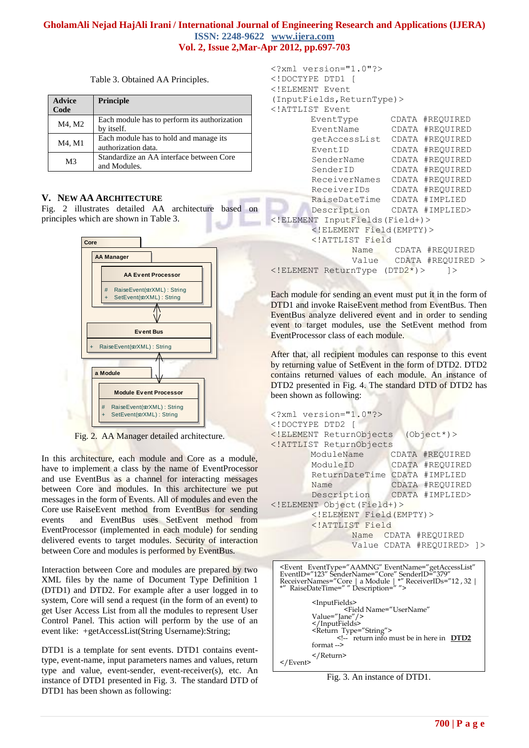Table 3. Obtained AA Principles.

| <b>Advice</b><br>Code | Principle                                                     |  |  |  |
|-----------------------|---------------------------------------------------------------|--|--|--|
| M4, M2                | Each module has to perform its authorization<br>by itself.    |  |  |  |
| M4, M1                | Each module has to hold and manage its<br>authorization data. |  |  |  |
| M <sub>3</sub>        | Standardize an AA interface between Core<br>and Modules.      |  |  |  |

# **V. NEW AA ARCHITECTURE**

Fig. 2 illustrates detailed AA architecture based on principles which are shown in Table 3.

![](_page_3_Figure_5.jpeg)

Fig. 2. AA Manager detailed architecture.

In this architecture, each module and Core as a module, have to implement a class by the name of EventProcessor and use EventBus as a channel for interacting messages between Core and modules. In this architecture we put messages in the form of Events. All of modules and even the Core use RaiseEvent method from EventBus for sending events and EventBus uses SetEvent method from EventProcessor (implemented in each module) for sending delivered events to target modules. Security of interaction between Core and modules is performed by EventBus.

Interaction between Core and modules are prepared by two XML files by the name of Document Type Definition 1 (DTD1) and DTD2. For example after a user logged in to system, Core will send a request (in the form of an event) to get User Access List from all the modules to represent User Control Panel. This action will perform by the use of an event like: +getAccessList(String Username):String;

DTD1 is a template for sent events. DTD1 contains eventtype, event-name, input parameters names and values, return type and value, event-sender, event-receiver(s), etc. An instance of DTD1 presented in Fig. 3. The standard DTD of DTD1 has been shown as following:

```
<?xml version="1.0"?>
<!DOCTYPE DTD1 [
<!ELEMENT Event 
(InputFields,ReturnType)>
<!ATTLIST Event
        EventType CDATA #REQUIRED
       EventName CDATA #REQUIRED 
        getAccessList CDATA #REQUIRED 
        EventID CDATA #REQUIRED 
        SenderName CDATA #REQUIRED 
        SenderID CDATA #REQUIRED 
        ReceiverNames CDATA #REQUIRED 
        ReceiverIDs CDATA #REQUIRED 
       RaiseDateTime CDATA #IMPLIED
       Description CDATA #IMPLIED>
<!ELEMENT InputFields(Field+)>
       <!ELEMENT Field(EMPTY)>
       <!ATTLIST Field
               Name CDATA #REQUIRED
              Value CDATA #REQUIRED >
<!ELEMENT ReturnType (DTD2*)> ]>
```
Each module for sending an event must put it in the form of DTD1 and invoke RaiseEvent method from EventBus. Then EventBus analyze delivered event and in order to sending event to target modules, use the SetEvent method from EventProcessor class of each module.

After that, all recipient modules can response to this event by returning value of SetEvent in the form of DTD2. DTD2 contains returned values of each module. An instance of DTD2 presented in Fig. 4. The standard DTD of DTD2 has been shown as following:

```
<?xml version="1.0"?>
<!DOCTYPE DTD2 [
<!ELEMENT ReturnObjects (Object*)>
<!ATTLIST ReturnObjects 
        ModuleName CDATA #REQUIRED
       ModuleID CDATA #REQUIRED 
        ReturnDateTime CDATA #IMPLIED
        Name CDATA #REQUIRED
       Description CDATA #IMPLIED>
<!ELEMENT Object(Field+)>
       <!ELEMENT Field(EMPTY)>
       <!ATTLIST Field
               Name CDATA #REQUIRED
              Value CDATA #REQUIRED> ]>
```

```
<Event EventType="AAMNG" EventName="getAccessList" 
EventID="123" SenderName="Core" SenderID="379" 
ReceiverNames="Core | a Module | *" ReceiverIDs="12 , 32 | 
*" RaiseDateTime=" " Description=" ">
                <InputFields>
                <Field Name="UserName" 
Value="Jane"/>
                </InputFields>
               \leqReturn Type="String">
                                    return info must be in here in DTD2
               format -->
                </Return>
</Event>
```
Fig. 3. An instance of DTD1.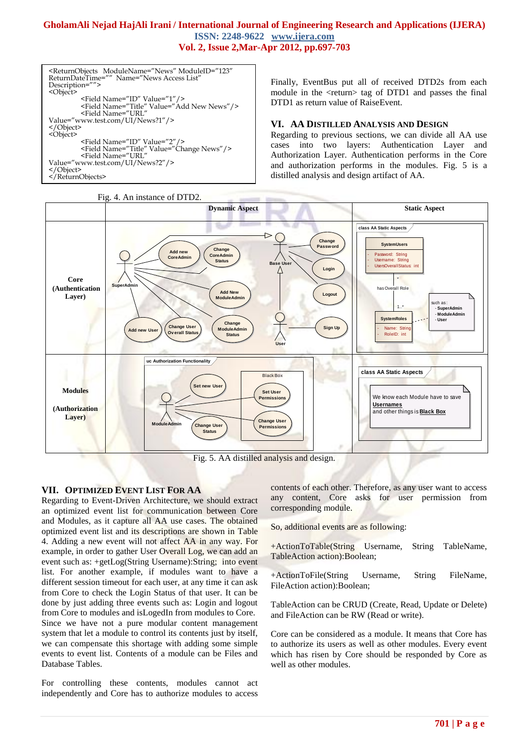<ReturnObjects ModuleName="News" ModuleID="123"<br>ReturnDateTime="" Name="News Access List" Return Press Control Name="News Access List" Description= <Object> <Field Name="ID" Value="1"/> <Field Name="Title" Value="Add New News"/> <Field Name="URL" Value="www.test.com/UI/News?1"/> </Object> <Object> <Field Name="ID" Value="2"/> <Field Name="Title" Value="Change News"/> <Field Name="URL" Value="www.test.com/UI/News?2"/> </Object> </ReturnObjects>

Finally, EventBus put all of received DTD2s from each module in the <return> tag of DTD1 and passes the final DTD1 as return value of RaiseEvent.

#### **VI. AA DISTILLED ANALYSIS AND DESIGN**

Regarding to previous sections, we can divide all AA use cases into two layers: Authentication Layer and Authorization Layer. Authentication performs in the Core and authorization performs in the modules. Fig. 5 is a distilled analysis and design artifact of AA.

![](_page_4_Figure_5.jpeg)

#### **VII. OPTIMIZED EVENT LIST FOR AA**

Regarding to Event-Driven Architecture, we should extract an optimized event list for communication between Core and Modules, as it capture all AA use cases. The obtained optimized event list and its descriptions are shown in Table 4. Adding a new event will not affect AA in any way. For example, in order to gather User Overall Log, we can add an event such as: +getLog(String Username):String; into event list. For another example, if modules want to have a different session timeout for each user, at any time it can ask from Core to check the Login Status of that user. It can be done by just adding three events such as: Login and logout from Core to modules and isLogedIn from modules to Core. Since we have not a pure modular content management system that let a module to control its contents just by itself, we can compensate this shortage with adding some simple events to event list. Contents of a module can be Files and Database Tables.

For controlling these contents, modules cannot act independently and Core has to authorize modules to access contents of each other. Therefore, as any user want to access any content, Core asks for user permission from corresponding module.

So, additional events are as following:

+ActionToTable(String Username, String TableName, TableAction action):Boolean;

+ActionToFile(String Username, String FileName, FileAction action):Boolean;

TableAction can be CRUD (Create, Read, Update or Delete) and FileAction can be RW (Read or write).

Core can be considered as a module. It means that Core has to authorize its users as well as other modules. Every event which has risen by Core should be responded by Core as well as other modules.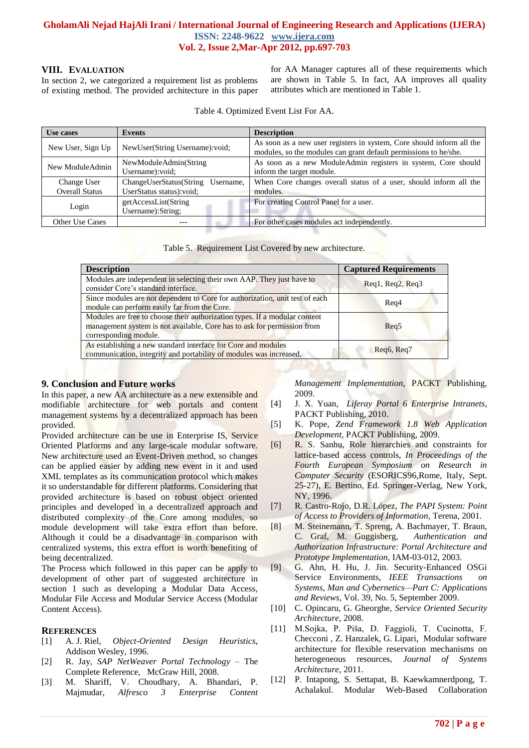#### **VIII. EVALUATION**

In section 2, we categorized a requirement list as problems of existing method. The provided architecture in this paper for AA Manager captures all of these requirements which are shown in Table 5. In fact, AA improves all quality attributes which are mentioned in Table 1.

Table 4. Optimized Event List For AA.

| Use cases                            | Events                                                            | <b>Description</b>                                                                                                                        |
|--------------------------------------|-------------------------------------------------------------------|-------------------------------------------------------------------------------------------------------------------------------------------|
| New User, Sign Up                    | NewUser(String Username): void;                                   | As soon as a new user registers in system, Core should inform all the<br>modules, so the modules can grant default permissions to he/she. |
| New ModuleAdmin                      | NewModuleAdmin(String<br>Username): void;                         | As soon as a new ModuleAdmin registers in system, Core should<br>inform the target module.                                                |
| Change User<br><b>Overall Status</b> | ChangeUserStatus(String<br>Username,<br>UserStatus status): void; | When Core changes overall status of a user, should inform all the<br>modules.                                                             |
| Login                                | getAccessList(String<br>Username): String;                        | For creating Control Panel for a user.                                                                                                    |
| <b>Other Use Cases</b>               |                                                                   | For other cases modules act independently.                                                                                                |

|  | Table 5. Requirement List Covered by new architecture. |  |  |  |
|--|--------------------------------------------------------|--|--|--|
|--|--------------------------------------------------------|--|--|--|

| <b>Description</b>                                                                                                                                                             | <b>Captured Requirements</b>            |
|--------------------------------------------------------------------------------------------------------------------------------------------------------------------------------|-----------------------------------------|
| Modules are independent in selecting their own AAP. They just have to<br>consider Core's standard interface.                                                                   | $\text{Req1}, \text{Req2}, \text{Req3}$ |
| Since modules are not dependent to Core for authorization, unit test of each<br>module can perform easily far from the Core.                                                   | Req4                                    |
| Modules are free to choose their authorization types. If a modular content<br>management system is not available, Core has to ask for permission from<br>corresponding module. | Req5                                    |
| As establishing a new standard interface for Core and modules<br>communication, integrity and portability of modules was increased.                                            | Reg <sub>6</sub> , Reg <sub>7</sub>     |

## **9. Conclusion and Future works**

In this paper, a new AA architecture as a new extensible and modifiable architecture for web portals and content management systems by a decentralized approach has been provided.

Provided architecture can be use in Enterprise IS, Service Oriented Platforms and any large-scale modular software. New architecture used an Event-Driven method, so changes can be applied easier by adding new event in it and used XML templates as its communication protocol which makes it so understandable for different platforms. Considering that provided architecture is based on robust object oriented principles and developed in a decentralized approach and distributed complexity of the Core among modules, so module development will take extra effort than before. Although it could be a disadvantage in comparison with centralized systems, this extra effort is worth benefiting of being decentralized.

The Process which followed in this paper can be apply to development of other part of suggested architecture in section 1 such as developing a Modular Data Access, Modular File Access and Modular Service Access (Modular Content Access).

## **REFERENCES**

- [1] A. J. Riel, *Object-Oriented Design Heuristics*, Addison Wesley, 1996.
- [2] R. Jay, *SAP NetWeaver Portal Technology* The Complete Reference, McGraw Hill, 2008.
- [3] M. Shariff, V. Choudhary, A. Bhandari, P. Majmudar, *Alfresco 3 Enterprise Content*

*Management Implementation*, PACKT Publishing, 2009.

- [4] J. X. Yuan, *Liferay Portal 6 Enterprise Intranets*, PACKT Publishing, 2010.
- [5] K. Pope, *Zend Framework 1.8 Web Application Development*, PACKT Publishing, 2009.
- [6] R. S. Sanhu, Role hierarchies and constraints for lattice-based access controls, *In Proceedings of the Fourth European Symposium on Research in Computer Security* (ESORICS96,Rome, Italy, Sept. 25-27), E. Bertino, Ed. Springer-Verlag, New York, NY, 1996.
- [7] R. Castro-Rojo, D.R. López, *The PAPI System: Point of Access to Providers of Information*, Terena, 2001.
- [8] M. Steinemann, T. Spreng, A. Bachmayer, T. Braun, C. Graf, M. Guggisberg, *Authentication and Authorization Infrastructure: Portal Architecture and Prototype Implementation*, IAM-03-012, 2003.
- [9] G. Ahn, H. Hu, J. Jin. Security-Enhanced OSGi Service Environments, *IEEE Transactions on Systems, Man and Cybernetics—Part C: Applications and Reviews*, Vol. 39, No. 5, September 2009.
- [10] C. Opincaru, G. Gheorghe, *Service Oriented Security Architecture*, 2008.
- [11] M.Sojka, P. Piša, D. Faggioli, T. Cucinotta, F. Checconi , Z. Hanzalek, G. Lipari, Modular software architecture for flexible reservation mechanisms on heterogeneous resources, *Journal of Systems Architecture*, 2011.
- [12] P. Intapong, S. Settapat, B. Kaewkamnerdpong, T. Achalakul. Modular Web-Based Collaboration